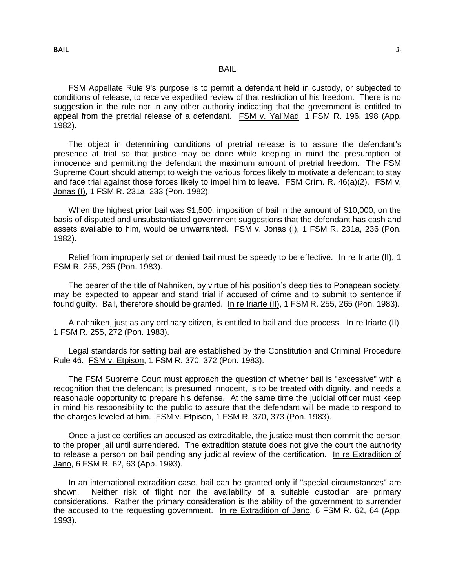FSM Appellate Rule 9's purpose is to permit a defendant held in custody, or subjected to conditions of release, to receive expedited review of that restriction of his freedom. There is no suggestion in the rule nor in any other authority indicating that the government is entitled to appeal from the pretrial release of a defendant. FSM v. Yal'Mad, 1 FSM R. 196, 198 (App. 1982).

The object in determining conditions of pretrial release is to assure the defendant's presence at trial so that justice may be done while keeping in mind the presumption of innocence and permitting the defendant the maximum amount of pretrial freedom. The FSM Supreme Court should attempt to weigh the various forces likely to motivate a defendant to stay and face trial against those forces likely to impel him to leave. FSM Crim. R. 46(a)(2). FSM v. Jonas (I), 1 FSM R. 231a, 233 (Pon. 1982).

When the highest prior bail was \$1,500, imposition of bail in the amount of \$10,000, on the basis of disputed and unsubstantiated government suggestions that the defendant has cash and assets available to him, would be unwarranted. FSM v. Jonas (I), 1 FSM R. 231a, 236 (Pon. 1982).

Relief from improperly set or denied bail must be speedy to be effective. In re Iriarte (II), 1 FSM R. 255, 265 (Pon. 1983).

The bearer of the title of Nahniken, by virtue of his position's deep ties to Ponapean society, may be expected to appear and stand trial if accused of crime and to submit to sentence if found guilty. Bail, therefore should be granted. In re Iriarte (II), 1 FSM R. 255, 265 (Pon. 1983).

A nahniken, just as any ordinary citizen, is entitled to bail and due process. In re Iriarte (II), 1 FSM R. 255, 272 (Pon. 1983).

Legal standards for setting bail are established by the Constitution and Criminal Procedure Rule 46. FSM v. Etpison, 1 FSM R. 370, 372 (Pon. 1983).

The FSM Supreme Court must approach the question of whether bail is "excessive" with a recognition that the defendant is presumed innocent, is to be treated with dignity, and needs a reasonable opportunity to prepare his defense. At the same time the judicial officer must keep in mind his responsibility to the public to assure that the defendant will be made to respond to the charges leveled at him. FSM v. Etpison, 1 FSM R. 370, 373 (Pon. 1983).

Once a justice certifies an accused as extraditable, the justice must then commit the person to the proper jail until surrendered. The extradition statute does not give the court the authority to release a person on bail pending any judicial review of the certification. In re Extradition of Jano, 6 FSM R. 62, 63 (App. 1993).

In an international extradition case, bail can be granted only if "special circumstances" are shown. Neither risk of flight nor the availability of a suitable custodian are primary considerations. Rather the primary consideration is the ability of the government to surrender the accused to the requesting government. In re Extradition of Jano, 6 FSM R. 62, 64 (App. 1993).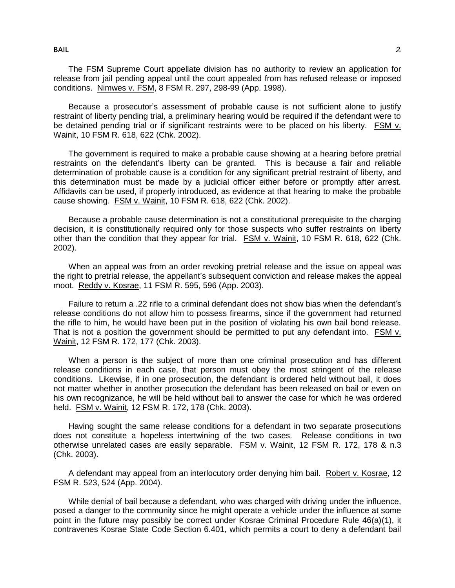The FSM Supreme Court appellate division has no authority to review an application for release from jail pending appeal until the court appealed from has refused release or imposed conditions. Nimwes v. FSM, 8 FSM R. 297, 298-99 (App. 1998).

Because a prosecutor's assessment of probable cause is not sufficient alone to justify restraint of liberty pending trial, a preliminary hearing would be required if the defendant were to be detained pending trial or if significant restraints were to be placed on his liberty. FSM v. Wainit, 10 FSM R. 618, 622 (Chk. 2002).

The government is required to make a probable cause showing at a hearing before pretrial restraints on the defendant's liberty can be granted. This is because a fair and reliable determination of probable cause is a condition for any significant pretrial restraint of liberty, and this determination must be made by a judicial officer either before or promptly after arrest. Affidavits can be used, if properly introduced, as evidence at that hearing to make the probable cause showing. FSM v. Wainit, 10 FSM R. 618, 622 (Chk. 2002).

Because a probable cause determination is not a constitutional prerequisite to the charging decision, it is constitutionally required only for those suspects who suffer restraints on liberty other than the condition that they appear for trial. FSM v. Wainit, 10 FSM R. 618, 622 (Chk. 2002).

When an appeal was from an order revoking pretrial release and the issue on appeal was the right to pretrial release, the appellant's subsequent conviction and release makes the appeal moot. Reddy v. Kosrae, 11 FSM R. 595, 596 (App. 2003).

Failure to return a .22 rifle to a criminal defendant does not show bias when the defendant's release conditions do not allow him to possess firearms, since if the government had returned the rifle to him, he would have been put in the position of violating his own bail bond release. That is not a position the government should be permitted to put any defendant into. FSM v. Wainit, 12 FSM R. 172, 177 (Chk. 2003).

When a person is the subject of more than one criminal prosecution and has different release conditions in each case, that person must obey the most stringent of the release conditions. Likewise, if in one prosecution, the defendant is ordered held without bail, it does not matter whether in another prosecution the defendant has been released on bail or even on his own recognizance, he will be held without bail to answer the case for which he was ordered held. FSM v. Wainit, 12 FSM R. 172, 178 (Chk. 2003).

Having sought the same release conditions for a defendant in two separate prosecutions does not constitute a hopeless intertwining of the two cases. Release conditions in two otherwise unrelated cases are easily separable. FSM v. Wainit, 12 FSM R. 172, 178 & n.3 (Chk. 2003).

A defendant may appeal from an interlocutory order denying him bail. Robert v. Kosrae, 12 FSM R. 523, 524 (App. 2004).

While denial of bail because a defendant, who was charged with driving under the influence, posed a danger to the community since he might operate a vehicle under the influence at some point in the future may possibly be correct under Kosrae Criminal Procedure Rule 46(a)(1), it contravenes Kosrae State Code Section 6.401, which permits a court to deny a defendant bail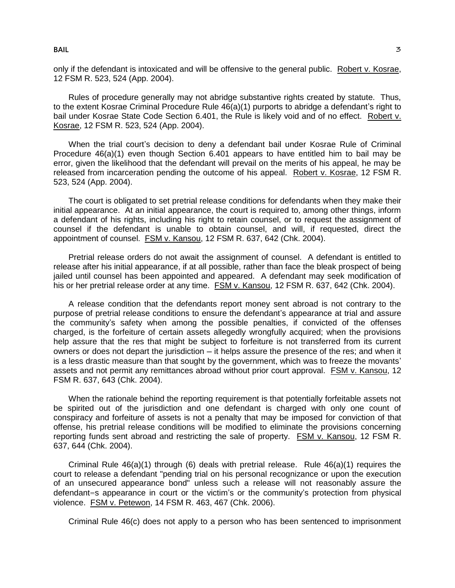Rules of procedure generally may not abridge substantive rights created by statute. Thus, to the extent Kosrae Criminal Procedure Rule 46(a)(1) purports to abridge a defendant's right to bail under Kosrae State Code Section 6.401, the Rule is likely void and of no effect. Robert v. Kosrae, 12 FSM R. 523, 524 (App. 2004).

When the trial court's decision to deny a defendant bail under Kosrae Rule of Criminal Procedure 46(a)(1) even though Section 6.401 appears to have entitled him to bail may be error, given the likelihood that the defendant will prevail on the merits of his appeal, he may be released from incarceration pending the outcome of his appeal. Robert v. Kosrae, 12 FSM R. 523, 524 (App. 2004).

The court is obligated to set pretrial release conditions for defendants when they make their initial appearance. At an initial appearance, the court is required to, among other things, inform a defendant of his rights, including his right to retain counsel, or to request the assignment of counsel if the defendant is unable to obtain counsel, and will, if requested, direct the appointment of counsel. FSM v. Kansou, 12 FSM R. 637, 642 (Chk. 2004).

Pretrial release orders do not await the assignment of counsel. A defendant is entitled to release after his initial appearance, if at all possible, rather than face the bleak prospect of being jailed until counsel has been appointed and appeared. A defendant may seek modification of his or her pretrial release order at any time. FSM v. Kansou, 12 FSM R. 637, 642 (Chk. 2004).

A release condition that the defendants report money sent abroad is not contrary to the purpose of pretrial release conditions to ensure the defendant's appearance at trial and assure the community's safety when among the possible penalties, if convicted of the offenses charged, is the forfeiture of certain assets allegedly wrongfully acquired; when the provisions help assure that the res that might be subject to forfeiture is not transferred from its current owners or does not depart the jurisdiction – it helps assure the presence of the res; and when it is a less drastic measure than that sought by the government, which was to freeze the movants' assets and not permit any remittances abroad without prior court approval. FSM v. Kansou, 12 FSM R. 637, 643 (Chk. 2004).

When the rationale behind the reporting requirement is that potentially forfeitable assets not be spirited out of the jurisdiction and one defendant is charged with only one count of conspiracy and forfeiture of assets is not a penalty that may be imposed for conviction of that offense, his pretrial release conditions will be modified to eliminate the provisions concerning reporting funds sent abroad and restricting the sale of property. FSM v. Kansou, 12 FSM R. 637, 644 (Chk. 2004).

Criminal Rule 46(a)(1) through (6) deals with pretrial release. Rule 46(a)(1) requires the court to release a defendant "pending trial on his personal recognizance or upon the execution of an unsecured appearance bond" unless such a release will not reasonably assure the defendant=s appearance in court or the victim's or the community's protection from physical violence. FSM v. Petewon, 14 FSM R. 463, 467 (Chk. 2006).

Criminal Rule 46(c) does not apply to a person who has been sentenced to imprisonment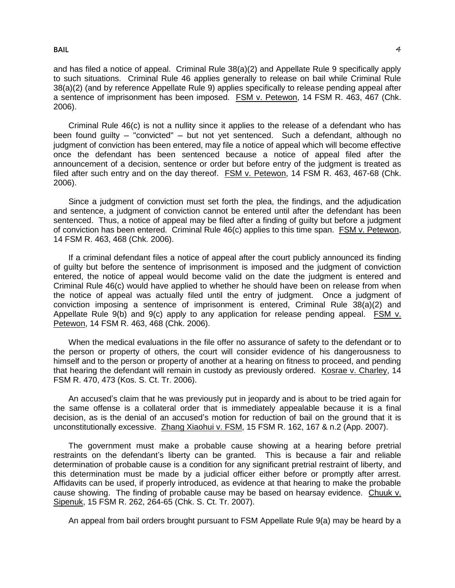and has filed a notice of appeal. Criminal Rule 38(a)(2) and Appellate Rule 9 specifically apply to such situations. Criminal Rule 46 applies generally to release on bail while Criminal Rule 38(a)(2) (and by reference Appellate Rule 9) applies specifically to release pending appeal after a sentence of imprisonment has been imposed. FSM v. Petewon, 14 FSM R. 463, 467 (Chk. 2006).

Criminal Rule 46(c) is not a nullity since it applies to the release of a defendant who has been found guilty – "convicted" – but not yet sentenced. Such a defendant, although no judgment of conviction has been entered, may file a notice of appeal which will become effective once the defendant has been sentenced because a notice of appeal filed after the announcement of a decision, sentence or order but before entry of the judgment is treated as filed after such entry and on the day thereof. FSM v. Petewon, 14 FSM R. 463, 467-68 (Chk. 2006).

Since a judgment of conviction must set forth the plea, the findings, and the adjudication and sentence, a judgment of conviction cannot be entered until after the defendant has been sentenced. Thus, a notice of appeal may be filed after a finding of guilty but before a judgment of conviction has been entered. Criminal Rule 46(c) applies to this time span. FSM v. Petewon, 14 FSM R. 463, 468 (Chk. 2006).

If a criminal defendant files a notice of appeal after the court publicly announced its finding of guilty but before the sentence of imprisonment is imposed and the judgment of conviction entered, the notice of appeal would become valid on the date the judgment is entered and Criminal Rule 46(c) would have applied to whether he should have been on release from when the notice of appeal was actually filed until the entry of judgment. Once a judgment of conviction imposing a sentence of imprisonment is entered, Criminal Rule 38(a)(2) and Appellate Rule 9(b) and 9(c) apply to any application for release pending appeal. FSM v. Petewon, 14 FSM R. 463, 468 (Chk. 2006).

When the medical evaluations in the file offer no assurance of safety to the defendant or to the person or property of others, the court will consider evidence of his dangerousness to himself and to the person or property of another at a hearing on fitness to proceed, and pending that hearing the defendant will remain in custody as previously ordered. Kosrae v. Charley, 14 FSM R. 470, 473 (Kos. S. Ct. Tr. 2006).

An accused's claim that he was previously put in jeopardy and is about to be tried again for the same offense is a collateral order that is immediately appealable because it is a final decision, as is the denial of an accused's motion for reduction of bail on the ground that it is unconstitutionally excessive. Zhang Xiaohui v. FSM, 15 FSM R. 162, 167 & n.2 (App. 2007).

The government must make a probable cause showing at a hearing before pretrial restraints on the defendant's liberty can be granted. This is because a fair and reliable determination of probable cause is a condition for any significant pretrial restraint of liberty, and this determination must be made by a judicial officer either before or promptly after arrest. Affidavits can be used, if properly introduced, as evidence at that hearing to make the probable cause showing. The finding of probable cause may be based on hearsay evidence. Chuuk v. Sipenuk, 15 FSM R. 262, 264-65 (Chk. S. Ct. Tr. 2007).

An appeal from bail orders brought pursuant to FSM Appellate Rule 9(a) may be heard by a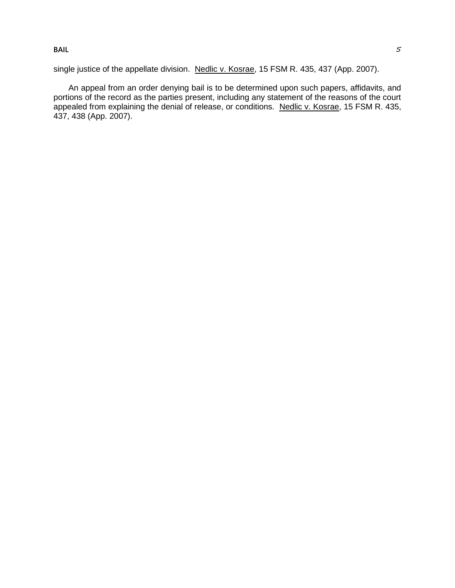single justice of the appellate division. Nedlic v. Kosrae, 15 FSM R. 435, 437 (App. 2007).

An appeal from an order denying bail is to be determined upon such papers, affidavits, and portions of the record as the parties present, including any statement of the reasons of the court appealed from explaining the denial of release, or conditions. Nedlic v. Kosrae, 15 FSM R. 435, 437, 438 (App. 2007).